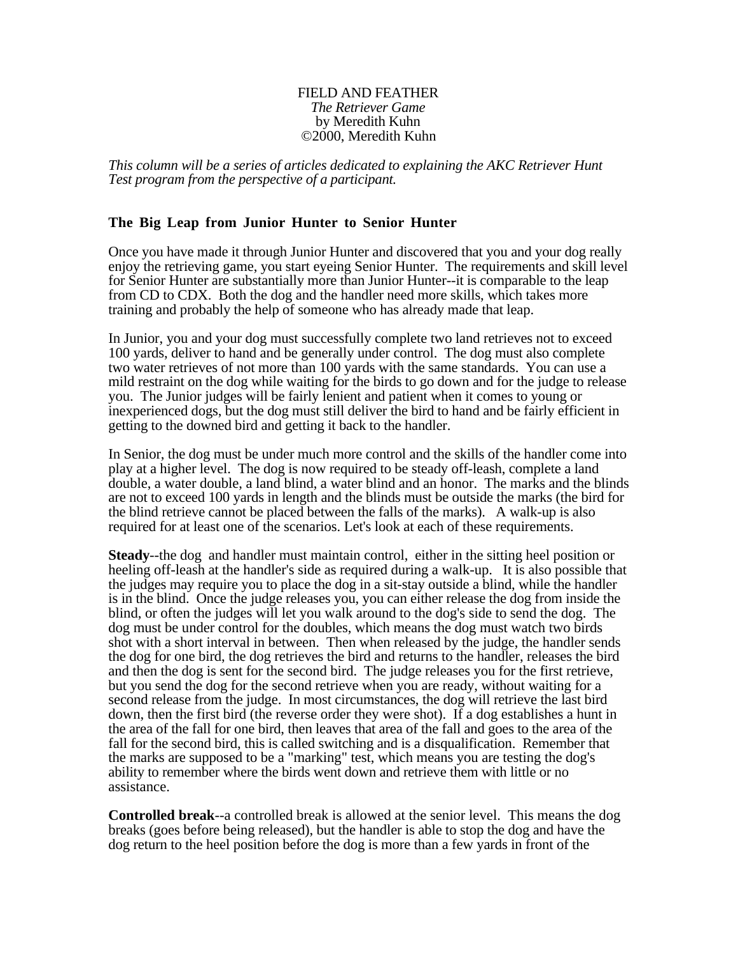## FIELD AND FEATHER *The Retriever Game* by Meredith Kuhn ©2000, Meredith Kuhn

*This column will be a series of articles dedicated to explaining the AKC Retriever Hunt Test program from the perspective of a participant.*

## **The Big Leap from Junior Hunter to Senior Hunter**

Once you have made it through Junior Hunter and discovered that you and your dog really enjoy the retrieving game, you start eyeing Senior Hunter. The requirements and skill level for Senior Hunter are substantially more than Junior Hunter--it is comparable to the leap from CD to CDX. Both the dog and the handler need more skills, which takes more training and probably the help of someone who has already made that leap.

In Junior, you and your dog must successfully complete two land retrieves not to exceed 100 yards, deliver to hand and be generally under control. The dog must also complete two water retrieves of not more than 100 yards with the same standards. You can use a mild restraint on the dog while waiting for the birds to go down and for the judge to release you. The Junior judges will be fairly lenient and patient when it comes to young or inexperienced dogs, but the dog must still deliver the bird to hand and be fairly efficient in getting to the downed bird and getting it back to the handler.

In Senior, the dog must be under much more control and the skills of the handler come into play at a higher level. The dog is now required to be steady off-leash, complete a land double, a water double, a land blind, a water blind and an honor. The marks and the blinds are not to exceed 100 yards in length and the blinds must be outside the marks (the bird for the blind retrieve cannot be placed between the falls of the marks). A walk-up is also required for at least one of the scenarios. Let's look at each of these requirements.

**Steady**--the dog and handler must maintain control, either in the sitting heel position or heeling off-leash at the handler's side as required during a walk-up. It is also possible that the judges may require you to place the dog in a sit-stay outside a blind, while the handler is in the blind. Once the judge releases you, you can either release the dog from inside the blind, or often the judges will let you walk around to the dog's side to send the dog. The dog must be under control for the doubles, which means the dog must watch two birds shot with a short interval in between. Then when released by the judge, the handler sends the dog for one bird, the dog retrieves the bird and returns to the handler, releases the bird and then the dog is sent for the second bird. The judge releases you for the first retrieve, but you send the dog for the second retrieve when you are ready, without waiting for a second release from the judge. In most circumstances, the dog will retrieve the last bird down, then the first bird (the reverse order they were shot). If a dog establishes a hunt in the area of the fall for one bird, then leaves that area of the fall and goes to the area of the fall for the second bird, this is called switching and is a disqualification. Remember that the marks are supposed to be a "marking" test, which means you are testing the dog's ability to remember where the birds went down and retrieve them with little or no assistance.

**Controlled break**--a controlled break is allowed at the senior level. This means the dog breaks (goes before being released), but the handler is able to stop the dog and have the dog return to the heel position before the dog is more than a few yards in front of the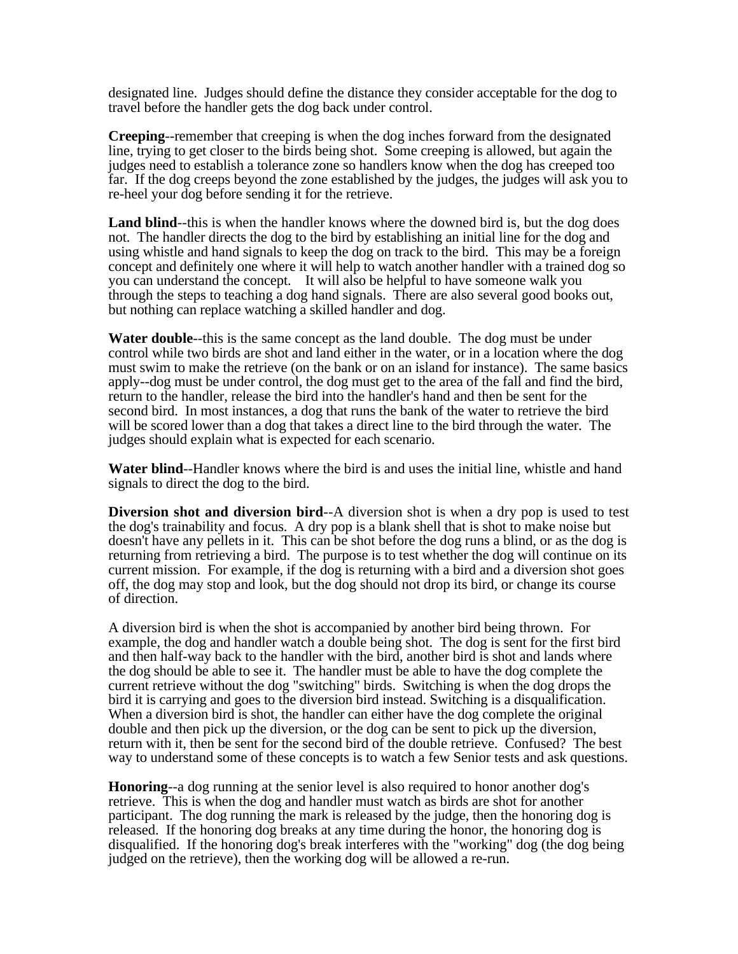designated line. Judges should define the distance they consider acceptable for the dog to travel before the handler gets the dog back under control.

**Creeping**--remember that creeping is when the dog inches forward from the designated line, trying to get closer to the birds being shot. Some creeping is allowed, but again the judges need to establish a tolerance zone so handlers know when the dog has creeped too far. If the dog creeps beyond the zone established by the judges, the judges will ask you to re-heel your dog before sending it for the retrieve.

Land blind—this is when the handler knows where the downed bird is, but the dog does not. The handler directs the dog to the bird by establishing an initial line for the dog and using whistle and hand signals to keep the dog on track to the bird. This may be a foreign concept and definitely one where it will help to watch another handler with a trained dog so you can understand the concept. It will also be helpful to have someone walk you through the steps to teaching a dog hand signals. There are also several good books out, but nothing can replace watching a skilled handler and dog.

**Water double**--this is the same concept as the land double. The dog must be under control while two birds are shot and land either in the water, or in a location where the dog must swim to make the retrieve (on the bank or on an island for instance). The same basics apply--dog must be under control, the dog must get to the area of the fall and find the bird, return to the handler, release the bird into the handler's hand and then be sent for the second bird. In most instances, a dog that runs the bank of the water to retrieve the bird will be scored lower than a dog that takes a direct line to the bird through the water. The judges should explain what is expected for each scenario.

**Water blind**--Handler knows where the bird is and uses the initial line, whistle and hand signals to direct the dog to the bird.

**Diversion shot and diversion bird--A** diversion shot is when a dry pop is used to test the dog's trainability and focus. A dry pop is a blank shell that is shot to make noise but doesn't have any pellets in it. This can be shot before the dog runs a blind, or as the dog is returning from retrieving a bird. The purpose is to test whether the dog will continue on its current mission. For example, if the dog is returning with a bird and a diversion shot goes off, the dog may stop and look, but the dog should not drop its bird, or change its course of direction.

A diversion bird is when the shot is accompanied by another bird being thrown. For example, the dog and handler watch a double being shot. The dog is sent for the first bird and then half-way back to the handler with the bird, another bird is shot and lands where the dog should be able to see it. The handler must be able to have the dog complete the current retrieve without the dog "switching" birds. Switching is when the dog drops the bird it is carrying and goes to the diversion bird instead. Switching is a disqualification. When a diversion bird is shot, the handler can either have the dog complete the original double and then pick up the diversion, or the dog can be sent to pick up the diversion, return with it, then be sent for the second bird of the double retrieve. Confused? The best way to understand some of these concepts is to watch a few Senior tests and ask questions.

**Honoring**--a dog running at the senior level is also required to honor another dog's retrieve. This is when the dog and handler must watch as birds are shot for another participant. The dog running the mark is released by the judge, then the honoring dog is released. If the honoring dog breaks at any time during the honor, the honoring dog is disqualified. If the honoring dog's break interferes with the "working" dog (the dog being judged on the retrieve), then the working dog will be allowed a re-run.